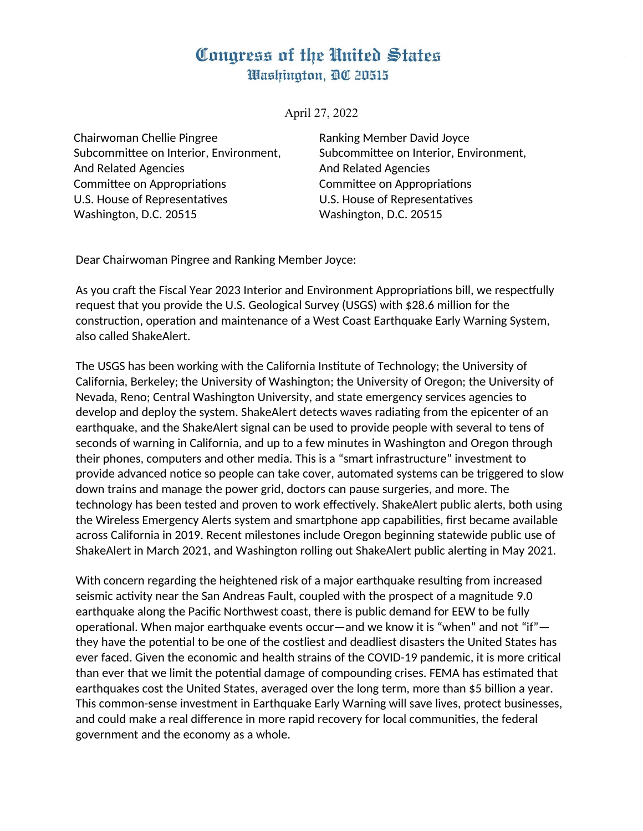## Congress of the United States Washington, DC 20515

April 27, 2022

Chairwoman Chellie Pingree Subcommittee on Interior, Environment, And Related Agencies Committee on Appropriations U.S. House of Representatives Washington, D.C. 20515

Ranking Member David Joyce Subcommittee on Interior, Environment, And Related Agencies Committee on Appropriations U.S. House of Representatives Washington, D.C. 20515

Dear Chairwoman Pingree and Ranking Member Joyce:

As you craft the Fiscal Year 2023 Interior and Environment Appropriations bill, we respectfully request that you provide the U.S. Geological Survey (USGS) with \$28.6 million for the construction, operation and maintenance of a West Coast Earthquake Early Warning System, also called ShakeAlert.

The USGS has been working with the California Institute of Technology; the University of California, Berkeley; the University of Washington; the University of Oregon; the University of Nevada, Reno; Central Washington University, and state emergency services agencies to develop and deploy the system. ShakeAlert detects waves radiating from the epicenter of an earthquake, and the ShakeAlert signal can be used to provide people with several to tens of seconds of warning in California, and up to a few minutes in Washington and Oregon through their phones, computers and other media. This is a "smart infrastructure" investment to provide advanced notice so people can take cover, automated systems can be triggered to slow down trains and manage the power grid, doctors can pause surgeries, and more. The technology has been tested and proven to work effectively. ShakeAlert public alerts, both using the Wireless Emergency Alerts system and smartphone app capabilities, first became available across California in 2019. Recent milestones include Oregon beginning statewide public use of ShakeAlert in March 2021, and Washington rolling out ShakeAlert public alerting in May 2021.

With concern regarding the heightened risk of a major earthquake resulting from increased seismic activity near the San Andreas Fault, coupled with the prospect of a magnitude 9.0 earthquake along the Pacific Northwest coast, there is public demand for EEW to be fully operational. When major earthquake events occur—and we know it is "when" and not "if" they have the potential to be one of the costliest and deadliest disasters the United States has ever faced. Given the economic and health strains of the COVID-19 pandemic, it is more critical than ever that we limit the potential damage of compounding crises. FEMA has estimated that earthquakes cost the United States, averaged over the long term, more than \$5 billion a year. This common-sense investment in Earthquake Early Warning will save lives, protect businesses, and could make a real difference in more rapid recovery for local communities, the federal government and the economy as a whole.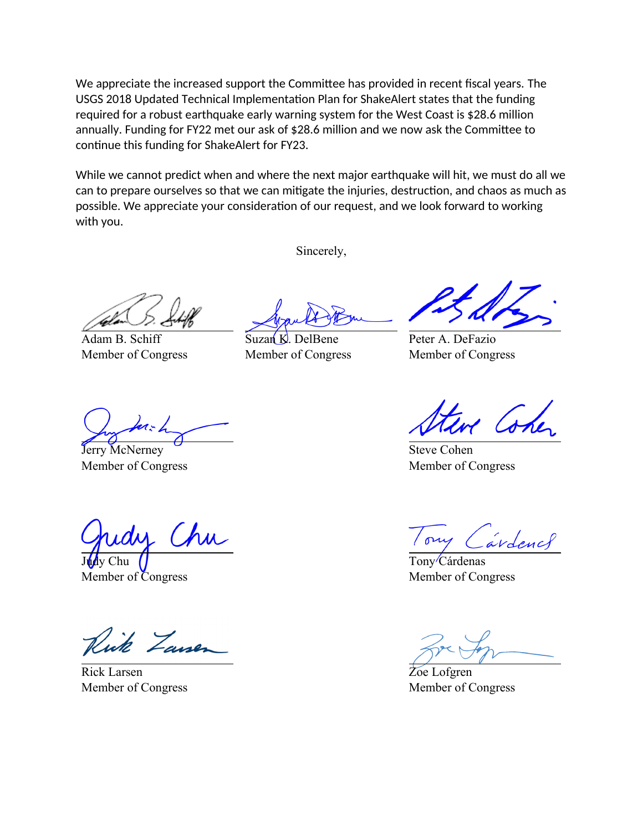We appreciate the increased support the Committee has provided in recent fiscal years. The USGS 2018 Updated Technical Implementation Plan for ShakeAlert states that the funding required for a robust earthquake early warning system for the West Coast is \$28.6 million annually. Funding for FY22 met our ask of \$28.6 million and we now ask the Committee to continue this funding for ShakeAlert for FY23.

While we cannot predict when and where the next major earthquake will hit, we must do all we can to prepare ourselves so that we can mitigate the injuries, destruction, and chaos as much as possible. We appreciate your consideration of our request, and we look forward to working with you.

Sincerely,

Adam B. Schiff Member of Congress

Suzan  $K$ . DelBene Member of Congress

Peter A. DeFazio Member of Congress

Jerry McNerney Member of Congress

Chu Judy Chu

Member of Congress

ick Zanen

Rick Larsen Member of Congress

Steve Cohen Member of Congress

árdencs

Tony Cárdenas Member of Congress

Zoe Lofgren Member of Congress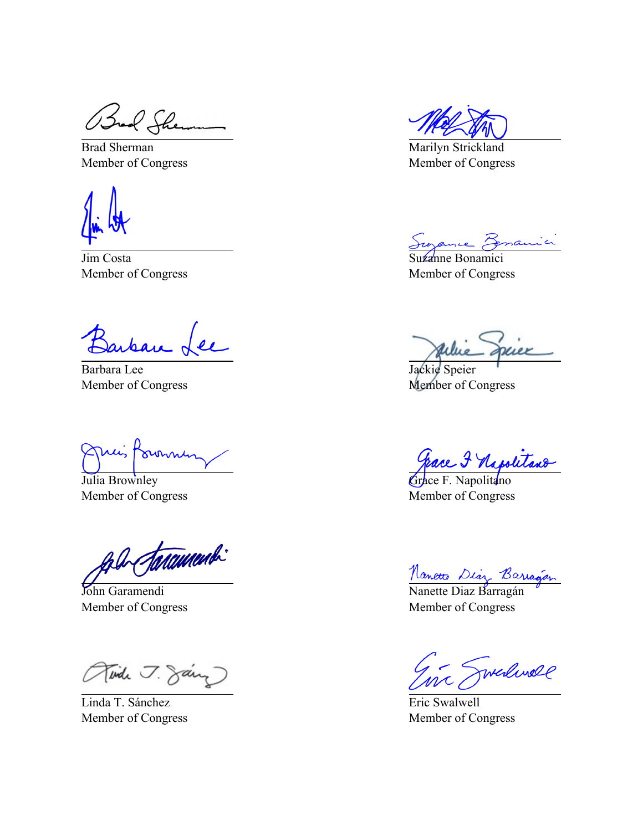Bud Shemm

Brad Sherman Member of Congress

Jim Costa Member of Congress

arban L  $\overline{\mathcal{U}}$ 

Barbara Lee Member of Congress

Juis Pormin

Julia Brownley Member of Congress

ale faramenti

John Garamendi Member of Congress

Aide J. Sain

Linda T. Sánchez Member of Congress

Marilyn Strickland Member of Congress

Suzanne Bonamici

Member of Congress

Julie Spier

Jackie Speier Member of Congress

Grace & Napolitano

Member of Congress

<u>Nanette</u> Diaz Barragán

Member of Congress

Inc Swerlinge

Eric Swalwell Member of Congress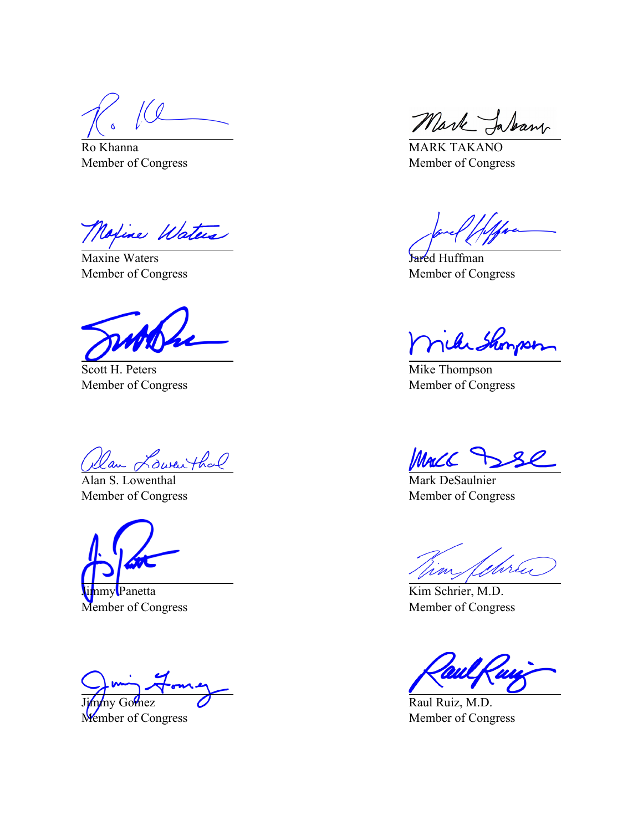160

Ro Khanna Member of Congress

Motive Waters

Maxine Waters Member of Congress

Scott H. Peters Member of Congress

Dan Lowenthal

Alan S. Lowenthal Member of Congress

nmy**l**Panetta Member of Congress

nmy Gomez Member of Congress

Mark Jakan

MARK TAKANO Member of Congress

Jared Huffman Member of Congress

nike Showson

Mike Thompson Member of Congress

MaCC

Mark DeSaulnier Member of Congress

yhru

Kim Schrier, M.D. Member of Congress

Raul Ruiz, M.D. Member of Congress